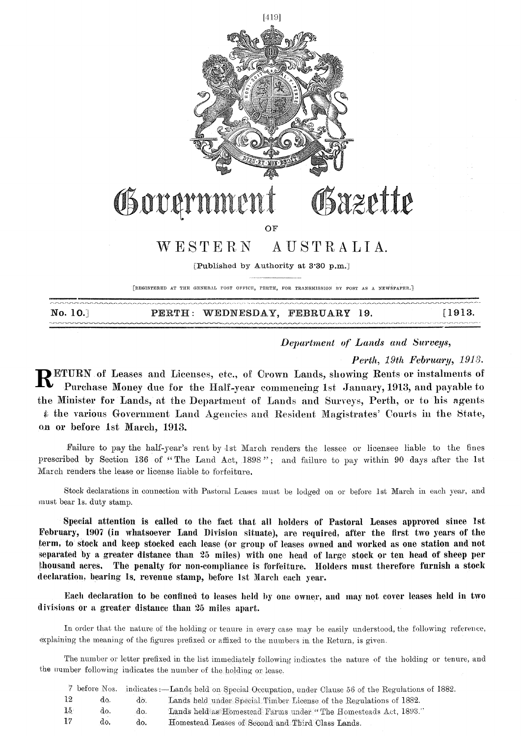

No. 10.] PERTH: WEDNESDAY, FEBRUARY 19. [1913.]

*Department of Lands and Surveys,* 

*Perth, 19th \_February, 1913.* 

**RETURN** of Leases and Licenses, etc., of Crown Lands, showing Rents or instalments of Purchase Money due for the Half-year commencing 1st January, 1913, and payable to Purchase Money due for the Half-year commencing 1st January, 1913, and payable to the Minister for 'Lands, at the Department of Lands and Surveys, Perth, or to his agents the various Government Land Agencies and Resident Magistrates' Courts in the State, on or before 1st March, 1913.

Failure to pay the half-year's rent by 1st March renders the lessee or licensee liable to the fines prescribed by Section 136 of "The Land Act, 1898"; and failure to pay within 90 days after the 1st March renders.the lease or license liable to forfeiture.

Stock declarations in connection with Pastoral Leases must be lodged on or before 1st March in each year, and must bear ls. duty stamp.

Special attention is called to the fact that all holders of Pastoral Leases approved since 1st February, 1907 (in whatsoever Land Division situate), are required, after the first two years of the term, to stock and keep stocked each lease (or group of leases owned and worked as one station and not separated by a greater distance than 25 miles) with one head of large stock or ten head of sheep per thousand acres. The penalty for non-compliance is forfeiture. Holders must therefore furnish a stock declaration, bearing ls. revenue stamp, before 1st March each year.

Each declaration to be confined to leases held by one owner, and may not cover leases held in two divisions or a greater distance than 25 miles apart.

In order that the nature of the holding or tenure in every case may be easily understood, the following reference, explaining the meaning of the figures prefixed or affixed to the numbers in the Return, is given.

The number or letter prefixed in the list immediately following indicates the nature of the holding or tenure, and the number following indicates the number of the holding or lease.

|                 |     |     | before Nos. indicates:—Lands held on Special Occupation, under Clause 56 of the Regulations of 1882. |
|-----------------|-----|-----|------------------------------------------------------------------------------------------------------|
| -12             | do. | do. | Lands held under Special Timber License of the Regulations of 1882.                                  |
| 15 <sub>1</sub> | do. | do. | Lands held as Homestead Farms under "The Homesteads Act, 1893."                                      |
| 17              | do. | do. | Homestead Leases of Second and Third Class Lands.                                                    |